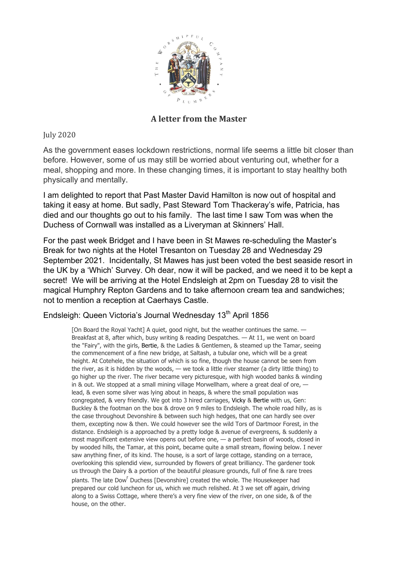

## **A letter from the Master**

July 2020

As the government eases lockdown restrictions, normal life seems a little bit closer than before. However, some of us may still be worried about venturing out, whether for a meal, shopping and more. In these changing times, it is important to stay healthy both physically and mentally.

I am delighted to report that Past Master David Hamilton is now out of hospital and taking it easy at home. But sadly, Past Steward Tom Thackeray's wife, Patricia, has died and our thoughts go out to his family. The last time I saw Tom was when the Duchess of Cornwall was installed as a Liveryman at Skinners' Hall.

For the past week Bridget and I have been in St Mawes re-scheduling the Master's Break for two nights at the Hotel Tresanton on Tuesday 28 and Wednesday 29 September 2021. Incidentally, St Mawes has just been voted the best seaside resort in the UK by a 'Which' Survey. Oh dear, now it will be packed, and we need it to be kept a secret! We will be arriving at the Hotel Endsleigh at 2pm on Tuesday 28 to visit the magical Humphry Repton Gardens and to take afternoon cream tea and sandwiches; not to mention a reception at Caerhays Castle.

## Endsleigh: Queen Victoria's Journal Wednesday 13<sup>th</sup> April 1856

[On Board the Royal Yacht] A quiet, good night, but the weather continues the same. — Breakfast at 8, after which, busy writing & reading Despatches. — At 11, we went on board the "Fairy", with the girls, Bertie, & the Ladies & Gentlemen, & steamed up the Tamar, seeing the commencement of a fine new bridge, at Saltash, a tubular one, which will be a great height. At Cotehele, the situation of which is so fine, though the house cannot be seen from the river, as it is hidden by the woods,  $-$  we took a little river steamer (a dirty little thing) to go higher up the river. The river became very picturesque, with high wooded banks & winding in & out. We stopped at a small mining village Morwellham, where a great deal of ore, lead, & even some silver was lying about in heaps, & where the small population was congregated, & very friendly. We got into 3 hired carriages, Vicky & Bertie with us, Gen: Buckley & the footman on the box & drove on 9 miles to Endsleigh. The whole road hilly, as is the case throughout Devonshire & between such high hedges, that one can hardly see over them, excepting now & then. We could however see the wild Tors of Dartmoor Forest, in the distance. Endsleigh is a approached by a pretty lodge & avenue of evergreens, & suddenly a most magnificent extensive view opens out before one, — a perfect basin of woods, closed in by wooded hills, the Tamar, at this point, became quite a small stream, flowing below. I never saw anything finer, of its kind. The house, is a sort of large cottage, standing on a terrace, overlooking this splendid view, surrounded by flowers of great brilliancy. The gardener took us through the Dairy & a portion of the beautiful pleasure grounds, full of fine & rare trees plants. The late Dow<sup>r</sup> Duchess [Devonshire] created the whole. The Housekeeper had prepared our cold luncheon for us, which we much relished. At 3 we set off again, driving along to a Swiss Cottage, where there's a very fine view of the river, on one side, & of the house, on the other.